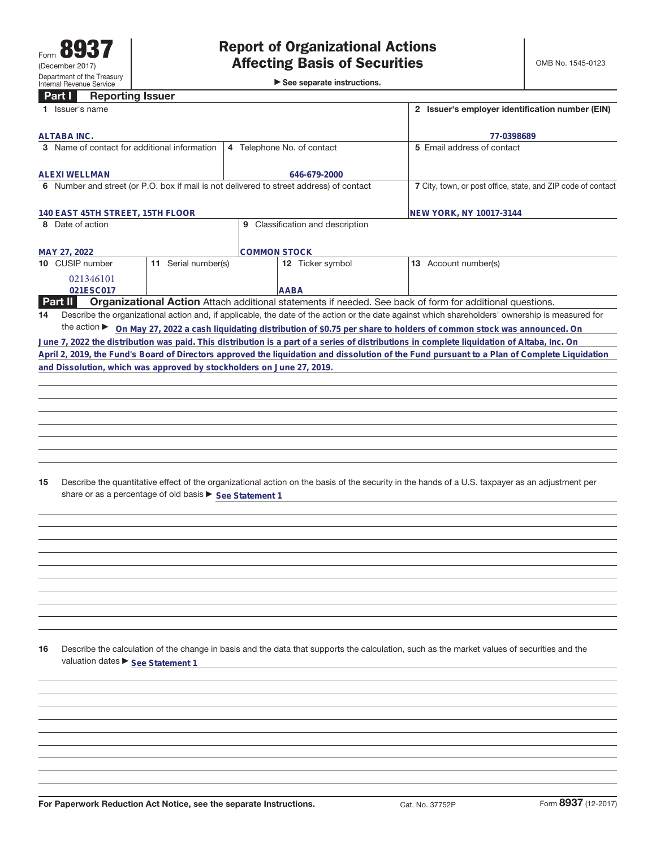►<br>► See separate instructions.

## **Part I Reporting Issuer**

|    | 1 Issuer's name                                                                         |                     | 2 Issuer's employer identification number (EIN)              |                                  |                                                                                                                                                 |
|----|-----------------------------------------------------------------------------------------|---------------------|--------------------------------------------------------------|----------------------------------|-------------------------------------------------------------------------------------------------------------------------------------------------|
|    | <b>ALTABA INC.</b>                                                                      |                     | 77-0398689                                                   |                                  |                                                                                                                                                 |
|    | 3 Name of contact for additional information                                            |                     |                                                              | 4 Telephone No. of contact       | 5 Email address of contact                                                                                                                      |
|    | <b>ALEXI WELLMAN</b>                                                                    |                     |                                                              | 646-679-2000                     |                                                                                                                                                 |
|    | 6 Number and street (or P.O. box if mail is not delivered to street address) of contact |                     | 7 City, town, or post office, state, and ZIP code of contact |                                  |                                                                                                                                                 |
|    | 140 EAST 45TH STREET, 15TH FLOOR                                                        |                     | NEW YORK, NY 10017-3144                                      |                                  |                                                                                                                                                 |
|    | 8 Date of action                                                                        |                     |                                                              | 9 Classification and description |                                                                                                                                                 |
|    | MAY 27, 2022                                                                            |                     |                                                              | <b>COMMON STOCK</b>              |                                                                                                                                                 |
|    | 10 CUSIP number                                                                         | 11 Serial number(s) |                                                              | 12 Ticker symbol                 | 13 Account number(s)                                                                                                                            |
|    | 021346101<br>021ESC017                                                                  |                     |                                                              | <b>AABA</b>                      |                                                                                                                                                 |
|    | Part II                                                                                 |                     |                                                              |                                  | Organizational Action Attach additional statements if needed. See back of form for additional questions.                                        |
| 14 |                                                                                         |                     |                                                              |                                  | Describe the organizational action and, if applicable, the date of the action or the date against which shareholders' ownership is measured for |
|    |                                                                                         |                     |                                                              |                                  | the action ▶ On May 27, 2022 a cash liquidating distribution of \$0.75 per share to holders of common stock was announced. On                   |
|    |                                                                                         |                     |                                                              |                                  | June 7, 2022 the distribution was paid. This distribution is a part of a series of distributions in complete liquidation of Altaba, Inc. On     |
|    |                                                                                         |                     |                                                              |                                  | April 2, 2019, the Fund's Board of Directors approved the liquidation and dissolution of the Fund pursuant to a Plan of Complete Liquidation    |
|    | and Dissolution, which was approved by stockholders on June 27, 2019.                   |                     |                                                              |                                  |                                                                                                                                                 |
|    |                                                                                         |                     |                                                              |                                  |                                                                                                                                                 |
|    |                                                                                         |                     |                                                              |                                  |                                                                                                                                                 |
|    |                                                                                         |                     |                                                              |                                  |                                                                                                                                                 |
|    |                                                                                         |                     |                                                              |                                  |                                                                                                                                                 |
|    |                                                                                         |                     |                                                              |                                  |                                                                                                                                                 |
|    |                                                                                         |                     |                                                              |                                  |                                                                                                                                                 |
|    |                                                                                         |                     |                                                              |                                  |                                                                                                                                                 |
| 15 |                                                                                         |                     |                                                              |                                  | Describe the quantitative effect of the organizational action on the basis of the security in the hands of a U.S. taxpayer as an adjustment per |
|    | share or as a percentage of old basis ▶ See Statement 1                                 |                     |                                                              |                                  |                                                                                                                                                 |
|    |                                                                                         |                     |                                                              |                                  |                                                                                                                                                 |
|    |                                                                                         |                     |                                                              |                                  |                                                                                                                                                 |
|    |                                                                                         |                     |                                                              |                                  |                                                                                                                                                 |
|    |                                                                                         |                     |                                                              |                                  |                                                                                                                                                 |
|    |                                                                                         |                     |                                                              |                                  |                                                                                                                                                 |

**16** Describe the calculation of the change in basis and the data that supports the calculation, such as the market values of securities and the valuation dates **>** See Statement 1

**For Paperwork Reduction Act Notice, see the separate Instructions.** Cat. No. 37752P Form 8937 (12-2017)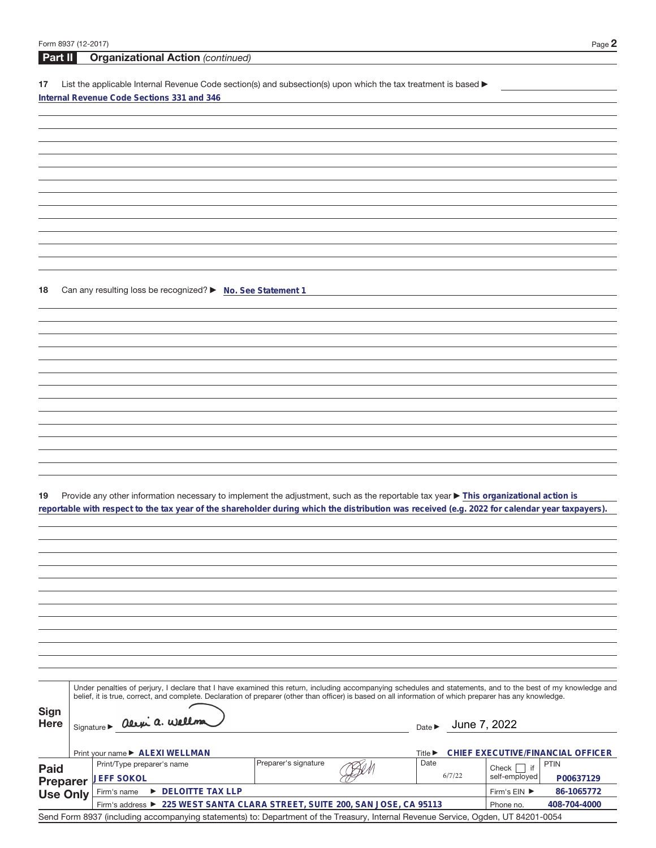| Form 8937 (12-2017) |                                                                                                                                                              |                             |              | Page 2                            |
|---------------------|--------------------------------------------------------------------------------------------------------------------------------------------------------------|-----------------------------|--------------|-----------------------------------|
| Part II             | <b>Organizational Action (continued)</b>                                                                                                                     |                             |              |                                   |
|                     |                                                                                                                                                              |                             |              |                                   |
| 17                  | List the applicable Internal Revenue Code section(s) and subsection(s) upon which the tax treatment is based $\blacktriangleright$                           |                             |              |                                   |
|                     | Internal Revenue Code Sections 331 and 346                                                                                                                   |                             |              |                                   |
|                     |                                                                                                                                                              |                             |              |                                   |
|                     |                                                                                                                                                              |                             |              |                                   |
|                     |                                                                                                                                                              |                             |              |                                   |
|                     |                                                                                                                                                              |                             |              |                                   |
|                     |                                                                                                                                                              |                             |              |                                   |
|                     |                                                                                                                                                              |                             |              |                                   |
|                     |                                                                                                                                                              |                             |              |                                   |
|                     |                                                                                                                                                              |                             |              |                                   |
|                     |                                                                                                                                                              |                             |              |                                   |
|                     |                                                                                                                                                              |                             |              |                                   |
|                     |                                                                                                                                                              |                             |              |                                   |
|                     |                                                                                                                                                              |                             |              |                                   |
|                     |                                                                                                                                                              |                             |              |                                   |
| 18                  | Can any resulting loss be recognized? > No. See Statement 1                                                                                                  |                             |              |                                   |
|                     |                                                                                                                                                              |                             |              |                                   |
|                     |                                                                                                                                                              |                             |              |                                   |
|                     |                                                                                                                                                              |                             |              |                                   |
|                     |                                                                                                                                                              |                             |              |                                   |
|                     |                                                                                                                                                              |                             |              |                                   |
|                     |                                                                                                                                                              |                             |              |                                   |
|                     |                                                                                                                                                              |                             |              |                                   |
|                     |                                                                                                                                                              |                             |              |                                   |
|                     |                                                                                                                                                              |                             |              |                                   |
|                     |                                                                                                                                                              |                             |              |                                   |
|                     |                                                                                                                                                              |                             |              |                                   |
|                     |                                                                                                                                                              |                             |              |                                   |
|                     |                                                                                                                                                              |                             |              |                                   |
|                     |                                                                                                                                                              |                             |              |                                   |
|                     |                                                                                                                                                              |                             |              |                                   |
| 19                  | Provide any other information necessary to implement the adjustment, such as the reportable tax year ▶ This organizational action is                         |                             |              |                                   |
|                     | reportable with respect to the tax year of the shareholder during which the distribution was received (e.g. 2022 for calendar year taxpayers).               |                             |              |                                   |
|                     |                                                                                                                                                              |                             |              |                                   |
|                     |                                                                                                                                                              |                             |              |                                   |
|                     |                                                                                                                                                              |                             |              |                                   |
|                     |                                                                                                                                                              |                             |              |                                   |
|                     |                                                                                                                                                              |                             |              |                                   |
|                     |                                                                                                                                                              |                             |              |                                   |
|                     |                                                                                                                                                              |                             |              |                                   |
|                     |                                                                                                                                                              |                             |              |                                   |
|                     |                                                                                                                                                              |                             |              |                                   |
|                     |                                                                                                                                                              |                             |              |                                   |
|                     |                                                                                                                                                              |                             |              |                                   |
|                     |                                                                                                                                                              |                             |              |                                   |
|                     | Under penalties of perjury, I declare that I have examined this return, including accompanying schedules and statements, and to the best of my knowledge and |                             |              |                                   |
|                     | belief, it is true, correct, and complete. Declaration of preparer (other than officer) is based on all information of which preparer has any knowledge.     |                             |              |                                   |
| <b>Sign</b>         |                                                                                                                                                              |                             |              |                                   |
| <b>Here</b>         | Signature > alexi a. Wellma                                                                                                                                  | Date $\blacktriangleright$  | June 7, 2022 |                                   |
|                     |                                                                                                                                                              |                             |              |                                   |
|                     | Print your name ▶ ALEXI WELLMAN                                                                                                                              | Title $\blacktriangleright$ |              | CHIEF EXECUTIVE/FINANCIAL OFFICER |
| <b>Paid</b>         | Preparer's signature<br>Print/Type preparer's name                                                                                                           | Date                        |              | <b>PTIN</b><br>if<br>Check        |
| <b>Preparer</b>     | <b>JEFF SOKOL</b>                                                                                                                                            |                             | 6/7/22       | self-employed<br>P00637129        |
| <b>Use Only</b>     | DELOITTE TAX LLP<br>Firm's name                                                                                                                              |                             |              | Firm's EIN ▶<br>86-1065772        |
|                     | Firm's address ▶ 225 WEST SANTA CLARA STREET, SUITE 200, SAN JOSE, CA 95113                                                                                  |                             |              | Phone no.<br>408-704-4000         |

Send Form 8937 (including accompanying statements) to: Department of the Treasury, Internal Revenue Service, Ogden, UT 84201-0054